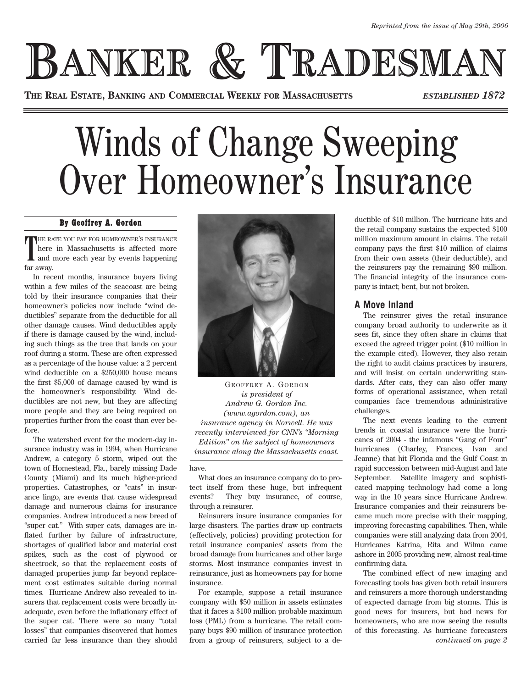## **BANKER & TRADESMA**

**THE REAL ESTATE, BANKING AND COMMERCIAL WEEKLY FOR MASSACHUSETTS** *ESTABLISHED 1872*

## Winds of Change Sweeping Over Homeowner's Insurance

## By Geoffrey A. Gordon

THE RATE YOU PAY FOR HOMEOWNER'S INSURANCE<br>
here in Massachusetts is affected more<br>
and more each year by events happening here in Massachusetts is affected more and more each year by events happening far away.

In recent months, insurance buyers living within a few miles of the seacoast are being told by their insurance companies that their homeowner's policies now include "wind deductibles" separate from the deductible for all other damage causes. Wind deductibles apply if there is damage caused by the wind, including such things as the tree that lands on your roof during a storm. These are often expressed as a percentage of the house value: a 2 percent wind deductible on a \$250,000 house means the first \$5,000 of damage caused by wind is the homeowner's responsibility. Wind deductibles are not new, but they are affecting more people and they are being required on properties further from the coast than ever before.

The watershed event for the modern-day insurance industry was in 1994, when Hurricane Andrew, a category 5 storm, wiped out the town of Homestead, Fla., barely missing Dade County (Miami) and its much higher-priced properties. Catastrophes, or "cats" in insurance lingo, are events that cause widespread damage and numerous claims for insurance companies. Andrew introduced a new breed of "super cat." With super cats, damages are inflated further by failure of infrastructure, shortages of qualified labor and material cost spikes, such as the cost of plywood or sheetrock, so that the replacement costs of damaged properties jump far beyond replacement cost estimates suitable during normal times. Hurricane Andrew also revealed to insurers that replacement costs were broadly inadequate, even before the inflationary effect of the super cat. There were so many "total losses" that companies discovered that homes carried far less insurance than they should



GEOFFREY A. GORDON *is president of Andrew G. Gordon Inc. (www.agordon.com), an insurance agency in Norwell. He was recently interviewed for CNN's "Morning Edition" on the subject of homeowners insurance along the Massachusetts coast.*

have.

What does an insurance company do to protect itself from these huge, but infrequent events? They buy insurance, of course, through a reinsurer.

Reinsurers insure insurance companies for large disasters. The parties draw up contracts (effectively, policies) providing protection for retail insurance companies' assets from the broad damage from hurricanes and other large storms. Most insurance companies invest in reinsurance, just as homeowners pay for home insurance.

For example, suppose a retail insurance company with \$50 million in assets estimates that it faces a \$100 million probable maximum loss (PML) from a hurricane. The retail company buys \$90 million of insurance protection from a group of reinsurers, subject to a deductible of \$10 million. The hurricane hits and the retail company sustains the expected \$100 million maximum amount in claims. The retail company pays the first \$10 million of claims from their own assets (their deductible), and the reinsurers pay the remaining \$90 million. The financial integrity of the insurance company is intact; bent, but not broken.

## **A Move Inland**

The reinsurer gives the retail insurance company broad authority to underwrite as it sees fit, since they often share in claims that exceed the agreed trigger point (\$10 million in the example cited). However, they also retain the right to audit claims practices by insurers, and will insist on certain underwriting standards. After cats, they can also offer many forms of operational assistance, when retail companies face tremendous administrative challenges.

The next events leading to the current trends in coastal insurance were the hurricanes of 2004 - the infamous "Gang of Four" hurricanes (Charley, Frances, Ivan and Jeanne) that hit Florida and the Gulf Coast in rapid succession between mid-August and late September. Satellite imagery and sophisticated mapping technology had come a long way in the 10 years since Hurricane Andrew. Insurance companies and their reinsurers became much more precise with their mapping, improving forecasting capabilities. Then, while companies were still analyzing data from 2004, Hurricanes Katrina, Rita and Wilma came ashore in 2005 providing new, almost real-time confirming data.

The combined effect of new imaging and forecasting tools has given both retail insurers and reinsurers a more thorough understanding of expected damage from big storms. This is good news for insurers, but bad news for homeowners, who are now seeing the results of this forecasting. As hurricane forecasters *continued on page 2*